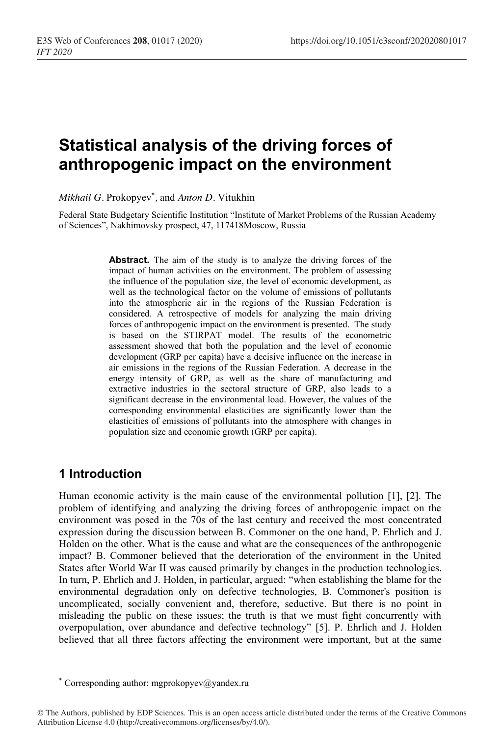# **Statistical analysis of the driving forces of anthropogenic impact on the environment**

*Mikhail G.* Prokopyev\* *,* and *Anton D.* Vitukhin

Federal State Budgetary Scientific Institution "Institute of Market Problems of the Russian Academy of Sciences", Nakhimovsky prospect, 47, 117418Moscow, Russia

> **Abstract.** The aim of the study is to analyze the driving forces of the impact of human activities on the environment. The problem of assessing the influence of the population size, the level of economic development, as well as the technological factor on the volume of emissions of pollutants into the atmospheric air in the regions of the Russian Federation is considered. A retrospective of models for analyzing the main driving forces of anthropogenic impact on the environment is presented. The study is based on the STIRPAT model. The results of the econometric assessment showed that both the population and the level of economic development (GRP per capita) have a decisive influence on the increase in air emissions in the regions of the Russian Federation. A decrease in the energy intensity of GRP, as well as the share of manufacturing and extractive industries in the sectoral structure of GRP, also leads to a significant decrease in the environmental load. However, the values of the corresponding environmental elasticities are significantly lower than the elasticities of emissions of pollutants into the atmosphere with changes in population size and economic growth (GRP per capita).

## **1 Introduction**

Human economic activity is the main cause of the environmental pollution [1], [2]. The problem of identifying and analyzing the driving forces of anthropogenic impact on the environment was posed in the 70s of the last century and received the most concentrated expression during the discussion between B. Commoner on the one hand, P. Ehrlich and J. Holden on the other. What is the cause and what are the consequences of the anthropogenic impact? B. Commoner believed that the deterioration of the environment in the United States after World War II was caused primarily by changes in the production technologies. In turn, P. Ehrlich and J. Holden, in particular, argued: "when establishing the blame for the environmental degradation only on defective technologies, B. Commoner's position is uncomplicated, socially convenient and, therefore, seductive. But there is no point in misleading the public on these issues; the truth is that we must fight concurrently with overpopulation, over abundance and defective technology" [5]. P. Ehrlich and J. Holden believed that all three factors affecting the environment were important, but at the same

<sup>\*</sup> Corresponding author: mgprokopyev@yandex.ru

<sup>©</sup> The Authors, published by EDP Sciences. This is an open access article distributed under the terms of the Creative Commons Attribution License 4.0 (http://creativecommons.org/licenses/by/4.0/).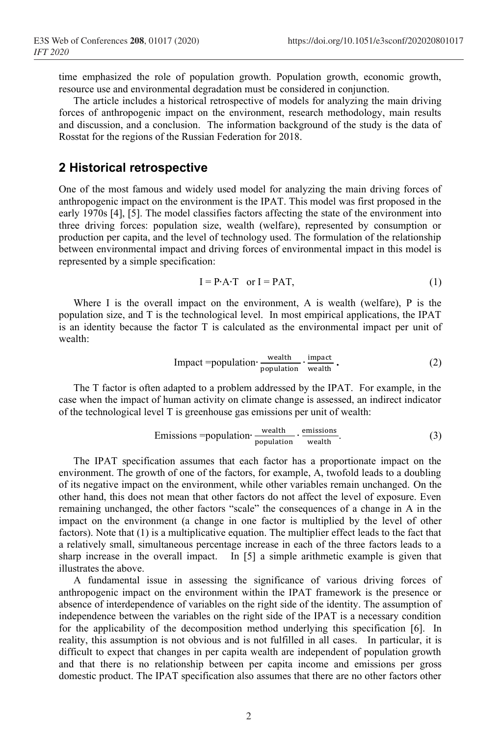time emphasized the role of population growth. Population growth, economic growth, resource use and environmental degradation must be considered in conjunction.

The article includes a historical retrospective of models for analyzing the main driving forces of anthropogenic impact on the environment, research methodology, main results and discussion, and a conclusion. The information background of the study is the data of Rosstat for the regions of the Russian Federation for 2018.

#### **2 Historical retrospective**

One of the most famous and widely used model for analyzing the main driving forces of anthropogenic impact on the environment is the IPAT. This model was first proposed in the early 1970s [4], [5]. The model classifies factors affecting the state of the environment into three driving forces: population size, wealth (welfare), represented by consumption or production per capita, and the level of technology used. The formulation of the relationship between environmental impact and driving forces of environmental impact in this model is represented by a simple specification:

$$
I = P \cdot A \cdot T \quad \text{or } I = P \cdot A \cdot T,\tag{1}
$$

Where I is the overall impact on the environment, A is wealth (welfare),  $P$  is the population size, and T is the technological level. In most empirical applications, the IPAT is an identity because the factor T is calculated as the environmental impact per unit of wealth:

$$
Important = population \cdot \frac{wealth}{population} \cdot \frac{impact}{wealth} \cdot \tag{2}
$$

The T factor is often adapted to a problem addressed by the IPAT. For example, in the case when the impact of human activity on climate change is assessed, an indirect indicator of the technological level T is greenhouse gas emissions per unit of wealth:

$$
Emissions = population \cdot \frac{wealth}{population} \cdot \frac{emissions}{wealth}.
$$
\n(3)

The IPAT specification assumes that each factor has a proportionate impact on the environment. The growth of one of the factors, for example, A, twofold leads to a doubling of its negative impact on the environment, while other variables remain unchanged. On the other hand, this does not mean that other factors do not affect the level of exposure. Even remaining unchanged, the other factors "scale" the consequences of a change in A in the impact on the environment (a change in one factor is multiplied by the level of other factors). Note that (1) is a multiplicative equation. The multiplier effect leads to the fact that a relatively small, simultaneous percentage increase in each of the three factors leads to a sharp increase in the overall impact. In [5] a simple arithmetic example is given that illustrates the above.

A fundamental issue in assessing the significance of various driving forces of anthropogenic impact on the environment within the IPAT framework is the presence or absence of interdependence of variables on the right side of the identity. The assumption of independence between the variables on the right side of the IPAT is a necessary condition for the applicability of the decomposition method underlying this specification [6]. In reality, this assumption is not obvious and is not fulfilled in all cases. In particular, it is difficult to expect that changes in per capita wealth are independent of population growth and that there is no relationship between per capita income and emissions per gross domestic product. The IPAT specification also assumes that there are no other factors other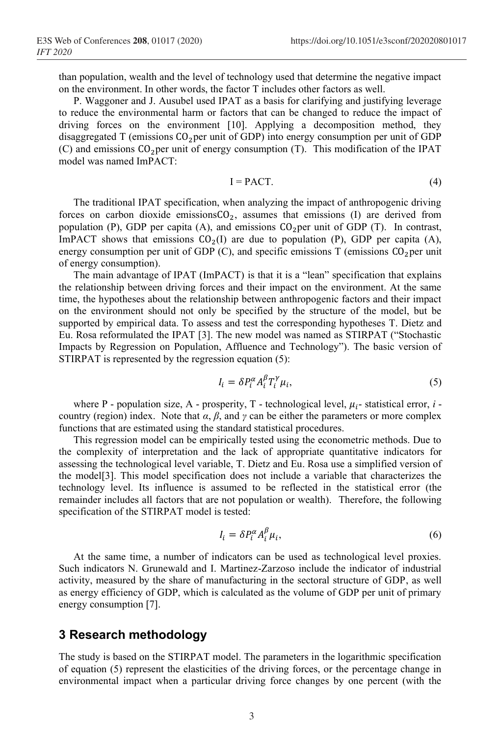than population, wealth and the level of technology used that determine the negative impact on the environment. In other words, the factor T includes other factors as well.

P. Waggoner and J. Ausubel used IPAT as a basis for clarifying and justifying leverage to reduce the environmental harm or factors that can be changed to reduce the impact of driving forces on the environment [10]. Applying a decomposition method, they disaggregated T (emissions  $CO_2$ per unit of GDP) into energy consumption per unit of GDP (C) and emissions  $CO<sub>2</sub>$  per unit of energy consumption (T). This modification of the IPAT model was named ImPACT:

$$
I = PACT.
$$
 (4)

The traditional IPAT specification, when analyzing the impact of anthropogenic driving forces on carbon dioxide emissions $CO<sub>2</sub>$ , assumes that emissions (I) are derived from population (P), GDP per capita (A), and emissions  $CO<sub>2</sub>$  per unit of GDP (T). In contrast, ImPACT shows that emissions  $CO<sub>2</sub>(I)$  are due to population (P), GDP per capita (A), energy consumption per unit of GDP (C), and specific emissions  $T$  (emissions  $CO<sub>2</sub>$ per unit of energy consumption).

The main advantage of IPAT (ImPACT) is that it is a "lean" specification that explains the relationship between driving forces and their impact on the environment. At the same time, the hypotheses about the relationship between anthropogenic factors and their impact on the environment should not only be specified by the structure of the model, but be supported by empirical data. To assess and test the corresponding hypotheses T. Dietz and Eu. Rosa reformulated the IPAT [3]. The new model was named as STIRPAT ("Stochastic Impacts by Regression on Population, Affluence and Technology"). The basic version of STIRPAT is represented by the regression equation (5):

$$
I_i = \delta P_i^{\alpha} A_i^{\beta} T_i^{\gamma} \mu_i,
$$
\n<sup>(5)</sup>

where P - population size, A - prosperity,  $T$  - technological level,  $\mu_i$ - statistical error, *i* country (region) index. Note that  $\alpha$ ,  $\beta$ , and  $\gamma$  can be either the parameters or more complex functions that are estimated using the standard statistical procedures.

This regression model can be empirically tested using the econometric methods. Due to the complexity of interpretation and the lack of appropriate quantitative indicators for assessing the technological level variable, T. Dietz and Eu. Rosa use a simplified version of the model[3]. This model specification does not include a variable that characterizes the technology level. Its influence is assumed to be reflected in the statistical error (the remainder includes all factors that are not population or wealth). Therefore, the following specification of the STIRPAT model is tested:

$$
I_i = \delta P_i^{\alpha} A_i^{\beta} \mu_i,\tag{6}
$$

At the same time, a number of indicators can be used as technological level proxies. Such indicators N. Grunewald and I. Martinez-Zarzoso include the indicator of industrial activity, measured by the share of manufacturing in the sectoral structure of GDP, as well as energy efficiency of GDP, which is calculated as the volume of GDP per unit of primary energy consumption [7].

### **3 Research methodology**

The study is based on the STIRPAT model. The parameters in the logarithmic specification of equation (5) represent the elasticities of the driving forces, or the percentage change in environmental impact when a particular driving force changes by one percent (with the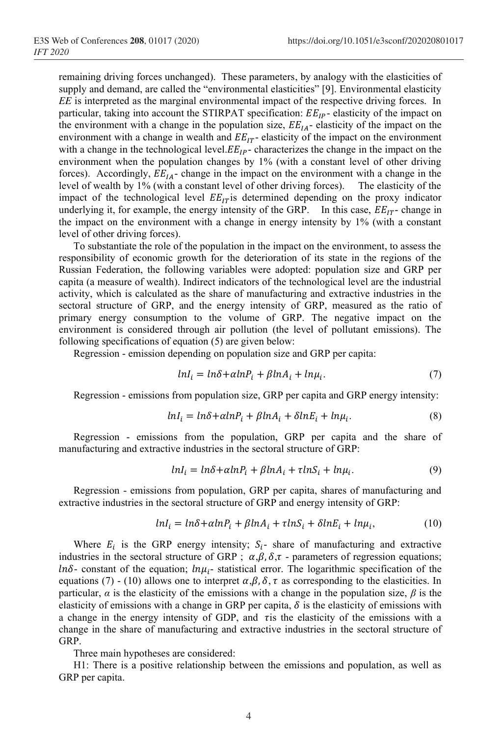remaining driving forces unchanged). These parameters, by analogy with the elasticities of supply and demand, are called the "environmental elasticities" [9]. Environmental elasticity *EE* is interpreted as the marginal environmental impact of the respective driving forces. In particular, taking into account the STIRPAT specification:  $EE_{IP}$  elasticity of the impact on the environment with a change in the population size,  $EE<sub>IA</sub>$  elasticity of the impact on the environment with a change in wealth and  $EE_{IT}$ - elasticity of the impact on the environment with a change in the technological level. $EE_{IP}$ -characterizes the change in the impact on the environment when the population changes by 1% (with a constant level of other driving forces). Accordingly,  $EE_{IA}$ -change in the impact on the environment with a change in the level of wealth by 1% (with a constant level of other driving forces). The elasticity of the impact of the technological level  $EE_{IT}$  is determined depending on the proxy indicator underlying it, for example, the energy intensity of the GRP. In this case,  $EE_{IT}$ -change in the impact on the environment with a change in energy intensity by 1% (with a constant level of other driving forces).

To substantiate the role of the population in the impact on the environment, to assess the responsibility of economic growth for the deterioration of its state in the regions of the Russian Federation, the following variables were adopted: population size and GRP per capita (a measure of wealth). Indirect indicators of the technological level are the industrial activity, which is calculated as the share of manufacturing and extractive industries in the sectoral structure of GRP, and the energy intensity of GRP, measured as the ratio of primary energy consumption to the volume of GRP. The negative impact on the environment is considered through air pollution (the level of pollutant emissions). The following specifications of equation (5) are given below:

Regression - emission depending on population size and GRP per capita:

$$
lnI_i = ln\delta + \alpha lnP_i + \beta lnA_i + ln\mu_i. \tag{7}
$$

Regression - emissions from population size, GRP per capita and GRP energy intensity:

$$
lnI_i = ln\delta + \alpha lnP_i + \beta lnA_i + \delta lnE_i + ln\mu_i.
$$
\n(8)

Regression - emissions from the population, GRP per capita and the share of manufacturing and extractive industries in the sectoral structure of GRP:

$$
lnI_i = ln\delta + \alpha lnP_i + \beta lnA_i + \tau lnS_i + ln\mu_i.
$$
 (9)

Regression - emissions from population, GRP per capita, shares of manufacturing and extractive industries in the sectoral structure of GRP and energy intensity of GRP:

$$
lnI_i = ln\delta + \alpha lnP_i + \beta lnA_i + \tau lnS_i + \delta lnE_i + ln\mu_i, \qquad (10)
$$

Where  $E_i$  is the GRP energy intensity;  $S_i$ - share of manufacturing and extractive industries in the sectoral structure of GRP ;  $\alpha, \beta, \delta, \tau$  - parameters of regression equations;  $ln\delta$ - constant of the equation;  $ln\mu_i$ - statistical error. The logarithmic specification of the equations (7) - (10) allows one to interpret  $\alpha, \beta, \delta, \tau$  as corresponding to the elasticities. In particular,  $\alpha$  is the elasticity of the emissions with a change in the population size,  $\beta$  is the elasticity of emissions with a change in GRP per capita,  $\delta$  is the elasticity of emissions with a change in the energy intensity of GDP, and *t* is the elasticity of the emissions with a change in the share of manufacturing and extractive industries in the sectoral structure of GRP.

Three main hypotheses are considered:

H1: There is a positive relationship between the emissions and population, as well as GRP per capita.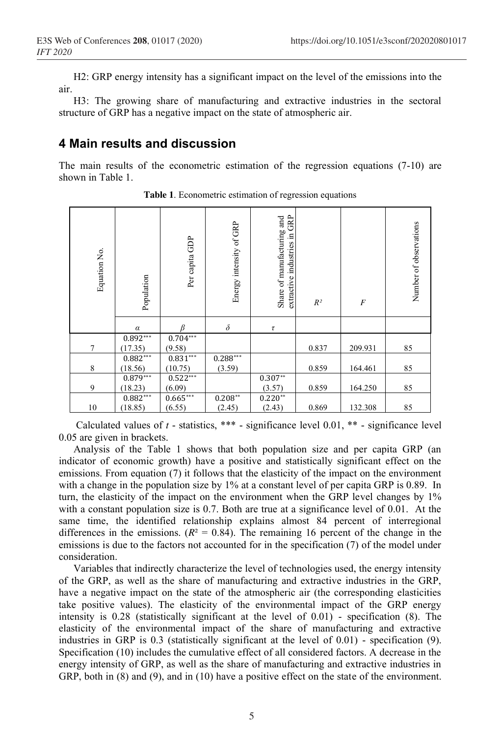H2: GRP energy intensity has a significant impact on the level of the emissions into the air.

Н3: The growing share of manufacturing and extractive industries in the sectoral structure of GRP has a negative impact on the state of atmospheric air.

#### **4 Main results and discussion**

The main results of the econometric estimation of the regression equations (7-10) are shown in Table 1.

| Equation No. | Population | Per capita GDP | Energy intensity of GRP | GRP<br>Share of manufacturing and<br>extractive industries in | $R^2$ | $\overline{F}$ | Number of observations |
|--------------|------------|----------------|-------------------------|---------------------------------------------------------------|-------|----------------|------------------------|
|              | $\alpha$   |                | $\delta$                | $\tau$                                                        |       |                |                        |
|              | $0.892***$ | $0.704***$     |                         |                                                               |       |                |                        |
| 7            | (17.35)    | (9.58)         |                         |                                                               | 0.837 | 209.931        | 85                     |
|              | $0.882***$ | $0.831***$     | $0.288***$              |                                                               |       |                |                        |
| 8            | (18.56)    | (10.75)        | (3.59)                  |                                                               | 0.859 | 164.461        | 85                     |
|              | $0.879***$ | $0.522***$     |                         | $0.307**$                                                     |       |                |                        |
| 9            | (18.23)    | (6.09)         |                         | (3.57)                                                        | 0.859 | 164.250        | 85                     |
|              | $0.882***$ | $0.665***$     | $0.208**$               | $0.220**$                                                     |       |                |                        |
| 10           | (18.85)    | (6.55)         | (2.45)                  | (2.43)                                                        | 0.869 | 132.308        | 85                     |

**Table 1**. Econometric estimation of regression equations

Calculated values of  $t$  - statistics, \*\*\* - significance level  $0.01$ , \*\* - significance level 0.05 are given in brackets.

Analysis of the Table 1 shows that both population size and per capita GRP (an indicator of economic growth) have a positive and statistically significant effect on the emissions. From equation (7) it follows that the elasticity of the impact on the environment with a change in the population size by 1% at a constant level of per capita GRP is 0.89. In turn, the elasticity of the impact on the environment when the GRP level changes by 1% with a constant population size is 0.7. Both are true at a significance level of 0.01. At the same time, the identified relationship explains almost 84 percent of interregional differences in the emissions.  $(R<sup>2</sup> = 0.84)$ . The remaining 16 percent of the change in the emissions is due to the factors not accounted for in the specification (7) of the model under consideration.

Variables that indirectly characterize the level of technologies used, the energy intensity of the GRP, as well as the share of manufacturing and extractive industries in the GRP, have a negative impact on the state of the atmospheric air (the corresponding elasticities take positive values). The elasticity of the environmental impact of the GRP energy intensity is 0.28 (statistically significant at the level of 0.01) - specification (8). The elasticity of the environmental impact of the share of manufacturing and extractive industries in GRP is 0.3 (statistically significant at the level of 0.01) - specification (9). Specification (10) includes the cumulative effect of all considered factors. A decrease in the energy intensity of GRP, as well as the share of manufacturing and extractive industries in GRP, both in  $(8)$  and  $(9)$ , and in  $(10)$  have a positive effect on the state of the environment.